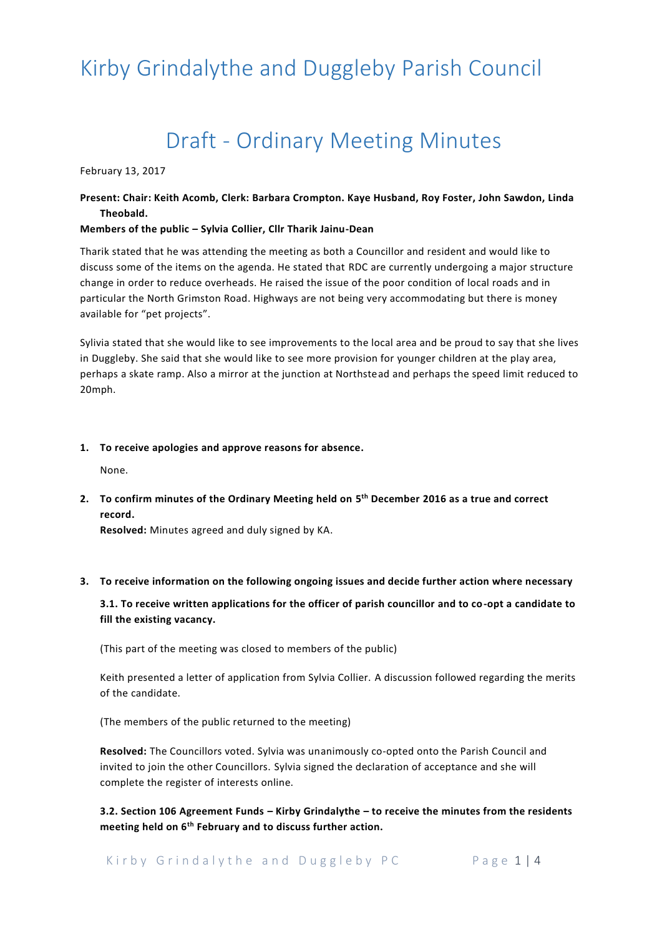# Draft - Ordinary Meeting Minutes

February 13, 2017

## **Present: Chair: Keith Acomb, Clerk: Barbara Crompton. Kaye Husband, Roy Foster, John Sawdon, Linda Theobald.**

#### **Members of the public – Sylvia Collier, Cllr Tharik Jainu-Dean**

Tharik stated that he was attending the meeting as both a Councillor and resident and would like to discuss some of the items on the agenda. He stated that RDC are currently undergoing a major structure change in order to reduce overheads. He raised the issue of the poor condition of local roads and in particular the North Grimston Road. Highways are not being very accommodating but there is money available for "pet projects".

Sylivia stated that she would like to see improvements to the local area and be proud to say that she lives in Duggleby. She said that she would like to see more provision for younger children at the play area, perhaps a skate ramp. Also a mirror at the junction at Northstead and perhaps the speed limit reduced to 20mph.

#### **1. To receive apologies and approve reasons for absence.**

None.

**2. To confirm minutes of the Ordinary Meeting held on 5 th December 2016 as a true and correct record.**

**Resolved:** Minutes agreed and duly signed by KA.

#### **3. To receive information on the following ongoing issues and decide further action where necessary**

**3.1. To receive written applications for the officer of parish councillor and to co-opt a candidate to fill the existing vacancy.**

(This part of the meeting was closed to members of the public)

Keith presented a letter of application from Sylvia Collier. A discussion followed regarding the merits of the candidate.

(The members of the public returned to the meeting)

**Resolved:** The Councillors voted. Sylvia was unanimously co-opted onto the Parish Council and invited to join the other Councillors. Sylvia signed the declaration of acceptance and she will complete the register of interests online.

**3.2. Section 106 Agreement Funds – Kirby Grindalythe – to receive the minutes from the residents meeting held on 6th February and to discuss further action.**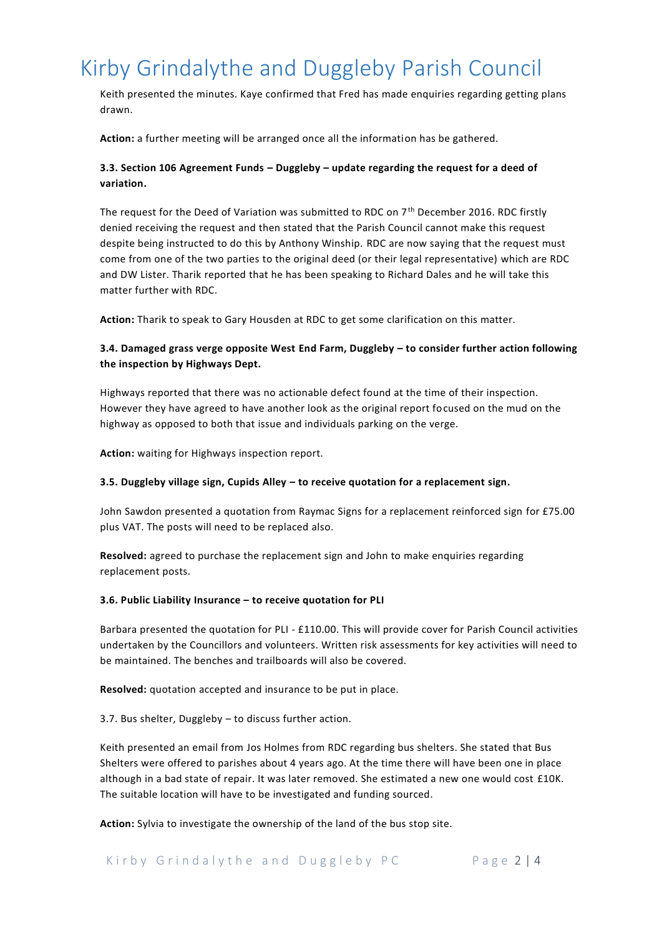Keith presented the minutes. Kaye confirmed that Fred has made enquiries regarding getting plans drawn.

**Action:** a further meeting will be arranged once all the information has be gathered.

## **3.3. Section 106 Agreement Funds – Duggleby – update regarding the request for a deed of variation.**

The request for the Deed of Variation was submitted to RDC on  $7<sup>th</sup>$  December 2016. RDC firstly denied receiving the request and then stated that the Parish Council cannot make this request despite being instructed to do this by Anthony Winship. RDC are now saying that the request must come from one of the two parties to the original deed (or their legal representative) which are RDC and DW Lister. Tharik reported that he has been speaking to Richard Dales and he will take this matter further with RDC.

**Action:** Tharik to speak to Gary Housden at RDC to get some clarification on this matter.

## **3.4. Damaged grass verge opposite West End Farm, Duggleby – to consider further action following the inspection by Highways Dept.**

Highways reported that there was no actionable defect found at the time of their inspection. However they have agreed to have another look as the original report focused on the mud on the highway as opposed to both that issue and individuals parking on the verge.

**Action:** waiting for Highways inspection report.

#### **3.5. Duggleby village sign, Cupids Alley – to receive quotation for a replacement sign.**

John Sawdon presented a quotation from Raymac Signs for a replacement reinforced sign for £75.00 plus VAT. The posts will need to be replaced also.

**Resolved:** agreed to purchase the replacement sign and John to make enquiries regarding replacement posts.

#### **3.6. Public Liability Insurance – to receive quotation for PLI**

Barbara presented the quotation for PLI - £110.00. This will provide cover for Parish Council activities undertaken by the Councillors and volunteers. Written risk assessments for key activities will need to be maintained. The benches and trailboards will also be covered.

**Resolved:** quotation accepted and insurance to be put in place.

3.7. Bus shelter, Duggleby – to discuss further action.

Keith presented an email from Jos Holmes from RDC regarding bus shelters. She stated that Bus Shelters were offered to parishes about 4 years ago. At the time there will have been one in place although in a bad state of repair. It was later removed. She estimated a new one would cost £10K. The suitable location will have to be investigated and funding sourced.

**Action:** Sylvia to investigate the ownership of the land of the bus stop site.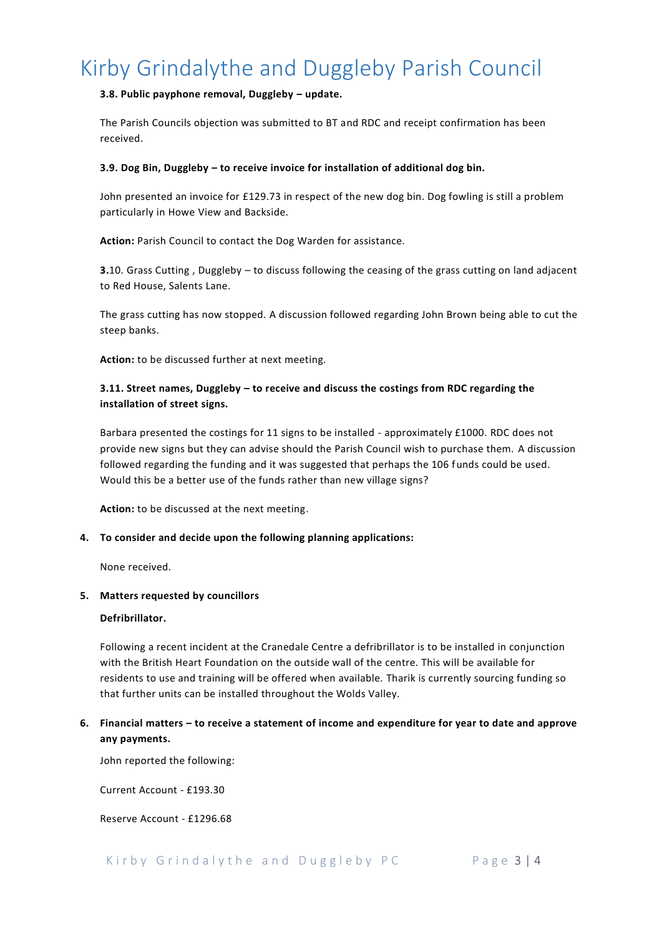## **3.8. Public payphone removal, Duggleby – update.**

The Parish Councils objection was submitted to BT and RDC and receipt confirmation has been received.

### **3.9. Dog Bin, Duggleby – to receive invoice for installation of additional dog bin.**

John presented an invoice for £129.73 in respect of the new dog bin. Dog fowling is still a problem particularly in Howe View and Backside.

**Action:** Parish Council to contact the Dog Warden for assistance.

**3.**10. Grass Cutting , Duggleby – to discuss following the ceasing of the grass cutting on land adjacent to Red House, Salents Lane.

The grass cutting has now stopped. A discussion followed regarding John Brown being able to cut the steep banks.

**Action:** to be discussed further at next meeting.

# **3.11. Street names, Duggleby – to receive and discuss the costings from RDC regarding the installation of street signs.**

Barbara presented the costings for 11 signs to be installed - approximately £1000. RDC does not provide new signs but they can advise should the Parish Council wish to purchase them. A discussion followed regarding the funding and it was suggested that perhaps the 106 funds could be used. Would this be a better use of the funds rather than new village signs?

**Action:** to be discussed at the next meeting.

## **4. To consider and decide upon the following planning applications:**

None received.

### **5. Matters requested by councillors**

### **Defribrillator.**

Following a recent incident at the Cranedale Centre a defribrillator is to be installed in conjunction with the British Heart Foundation on the outside wall of the centre. This will be available for residents to use and training will be offered when available. Tharik is currently sourcing funding so that further units can be installed throughout the Wolds Valley.

# **6. Financial matters – to receive a statement of income and expenditure for year to date and approve any payments.**

John reported the following:

Current Account - £193.30

Reserve Account - £1296.68